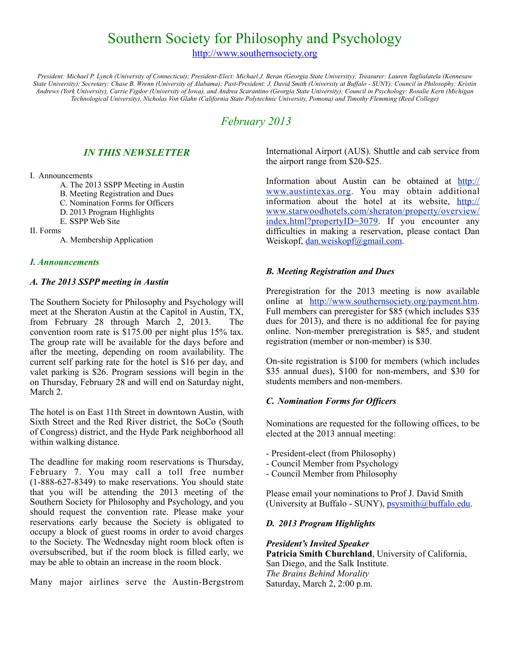# Southern Society for Philosophy and Psychology

[http://www.southernsociety.org](http://www.southernsociety.org/)

*President: Michael P. Lynch (University of Connecticut); President-Elect: Michael J. Beran (Georgia State University); Treasurer: Lauren Taglialatela (Kennesaw State University); Secretary: Chase B. Wrenn (University of Alabama); Past-President: J. David Smith (University at Buffalo - SUNY): Council in Philosophy: Kristin Andrews (York University), Carrie Figdor (University of Iowa), and Andrea Scarantino (Georgia State University); Council in Psychology: Rosalie Kern (Michigan Technological University), Nicholas Von Glahn (California State Polytechnic University, Pomona) and Timothy Flemming (Reed College)*

## *February 2013*

## *IN THIS NEWSLETTER*

#### I. Announcements

- A. The 2013 SSPP Meeting in Austin
- B. Meeting Registration and Dues
- C. Nomination Forms for Officers
- D. 2013 Program Highlights
- E. SSPP Web Site
- II. Forms
	- A. Membership Application

## *I. Announcements*

## *A. The 2013 SSPP meeting in Austin*

The Southern Society for Philosophy and Psychology will meet at the Sheraton Austin at the Capitol in Austin, TX, from February 28 through March 2, 2013. The convention room rate is \$175.00 per night plus 15% tax. The group rate will be available for the days before and after the meeting, depending on room availability. The current self parking rate for the hotel is \$16 per day, and valet parking is \$26. Program sessions will begin in the on Thursday, February 28 and will end on Saturday night, March 2.

The hotel is on East 11th Street in downtown Austin, with Sixth Street and the Red River district, the SoCo (South of Congress) district, and the Hyde Park neighborhood all within walking distance.

The deadline for making room reservations is Thursday, February 7. You may call a toll free number (1-888-627-8349) to make reservations. You should state that you will be attending the 2013 meeting of the Southern Society for Philosophy and Psychology, and you should request the convention rate. Please make your reservations early because the Society is obligated to occupy a block of guest rooms in order to avoid charges to the Society. The Wednesday night room block often is oversubscribed, but if the room block is filled early, we may be able to obtain an increase in the room block.

Many major airlines serve the Austin-Bergstrom

International Airport (AUS). Shuttle and cab service from the airport range from \$20-\$25.

Information about Austin can be obtained at  $\frac{http://}{http://}$  $\frac{http://}{http://}$  $\frac{http://}{http://}$ [www.austintexas.org.](http://www.austintexas.org) You may obtain additional information about the hotel at its website, [http://](http://www.starwoodhotels.com/sheraton/property/overview/index.html?propertyID=3079) [www.starwoodhotels.com/sheraton/property/overview/](http://www.starwoodhotels.com/sheraton/property/overview/index.html?propertyID=3079) [index.html?propertyID=3079](http://www.starwoodhotels.com/sheraton/property/overview/index.html?propertyID=3079). If you encounter any difficulties in making a reservation, please contact Dan Weiskopf, [dan.weiskopf@gmail.com.](mailto:dan.weiskopf@gmail.com)

## *B. Meeting Registration and Dues*

Preregistration for the 2013 meeting is now available online at <http://www.southernsociety.org/payment.htm>. Full members can preregister for \$85 (which includes \$35 dues for 2013), and there is no additional fee for paying online. Non-member preregistration is \$85, and student registration (member or non-member) is \$30.

On-site registration is \$100 for members (which includes \$35 annual dues), \$100 for non-members, and \$30 for students members and non-members.

## *C. Nomination Forms for Officers*

Nominations are requested for the following offices, to be elected at the 2013 annual meeting:

- President-elect (from Philosophy)
- Council Member from Psychology
- Council Member from Philosophy

Please email your nominations to Prof J. David Smith (University at Buffalo - SUNY), [psysmith@buffalo.edu.](mailto:psysmith@buffalo.edu)

## *D. 2013 Program Highlights*

*President's Invited Speaker* **Patricia Smith Churchland**, University of California, San Diego, and the Salk Institute. *The Brains Behind Morality* Saturday, March 2, 2:00 p.m.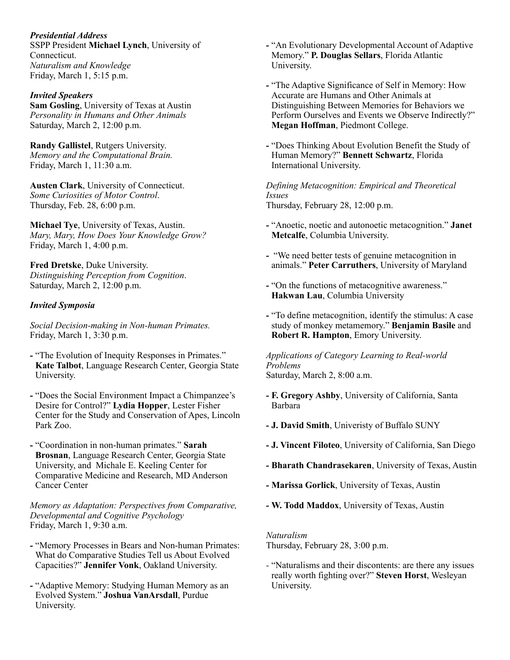*Presidential Address* SSPP President **Michael Lynch**, University of Connecticut. *Naturalism and Knowledge* Friday, March 1, 5:15 p.m.

#### *Invited Speakers*

**Sam Gosling**, University of Texas at Austin *Personality in Humans and Other Animals* Saturday, March 2, 12:00 p.m.

**Randy Gallistel**, Rutgers University. *Memory and the Computational Brain.* Friday, March 1, 11:30 a.m.

**Austen Clark**, University of Connecticut. *Some Curiosities of Motor Control*. Thursday, Feb. 28, 6:00 p.m.

**Michael Tye**, University of Texas, Austin. *Mary, Mary, How Does Your Knowledge Grow?* Friday, March 1, 4:00 p.m.

**Fred Dretske**, Duke University. *Distinguishing Perception from Cognition*. Saturday, March 2, 12:00 p.m.

#### *Invited Symposia*

*Social Decision-making in Non-human Primates.* Friday, March 1, 3:30 p.m.

- *-* "The Evolution of Inequity Responses in Primates." **Kate Talbot**, Language Research Center, Georgia State University.
- *-* "Does the Social Environment Impact a Chimpanzee's Desire for Control?" **Lydia Hopper**, Lester Fisher Center for the Study and Conservation of Apes, Lincoln Park Zoo.
- *-* "Coordination in non-human primates." **Sarah Brosnan**, Language Research Center, Georgia State University, and Michale E. Keeling Center for Comparative Medicine and Research, MD Anderson Cancer Center

*Memory as Adaptation: Perspectives from Comparative, Developmental and Cognitive Psychology* Friday, March 1, 9:30 a.m.

- *-* "Memory Processes in Bears and Non-human Primates: What do Comparative Studies Tell us About Evolved Capacities?" **Jennifer Vonk**, Oakland University.
- *-* "Adaptive Memory: Studying Human Memory as an Evolved System." **Joshua VanArsdall**, Purdue University.
- *-* "An Evolutionary Developmental Account of Adaptive Memory." **P. Douglas Sellars**, Florida Atlantic University.
- *-* "The Adaptive Significance of Self in Memory: How Accurate are Humans and Other Animals at Distinguishing Between Memories for Behaviors we Perform Ourselves and Events we Observe Indirectly?" **Megan Hoffman**, Piedmont College.
- *-* "Does Thinking About Evolution Benefit the Study of Human Memory?" **Bennett Schwartz**, Florida International University.

*Defining Metacognition: Empirical and Theoretical Issues* Thursday, February 28, 12:00 p.m.

- *-* "Anoetic, noetic and autonoetic metacognition." **Janet Metcalfe**, Columbia University.
- *-* "We need better tests of genuine metacognition in animals." **Peter Carruthers**, University of Maryland
- *-* "On the functions of metacognitive awareness." **Hakwan Lau**, Columbia University
- *-* "To define metacognition, identify the stimulus: A case study of monkey metamemory." **Benjamin Basile** and **Robert R. Hampton**, Emory University.

*Applications of Category Learning to Real-world Problems* Saturday, March 2, 8:00 a.m.

- *-* **F. Gregory Ashby**, University of California, Santa Barbara
- *-* **J. David Smith**, Univeristy of Buffalo SUNY
- *-* **J. Vincent Filoteo**, University of California, San Diego
- *-* **Bharath Chandrasekaren**, University of Texas, Austin
- *-* **Marissa Gorlick**, University of Texas, Austin
- *-* **W. Todd Maddox**, University of Texas, Austin

#### *Naturalism*

Thursday, February 28, 3:00 p.m.

*-* "Naturalisms and their discontents: are there any issues really worth fighting over?" **Steven Horst**, Wesleyan University.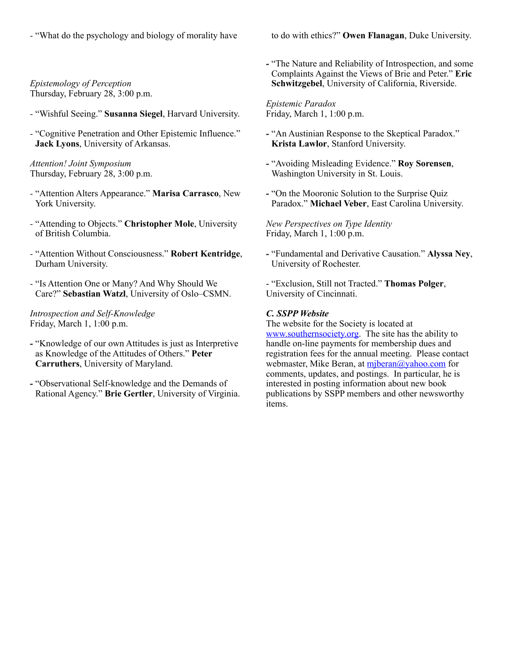*-* "What do the psychology and biology of morality have to do with ethics?" **Owen Flanagan**, Duke University.

*Epistemology of Perception* Thursday, February 28, 3:00 p.m.

- *-* "Wishful Seeing." **Susanna Siegel**, Harvard University.
- *-* "Cognitive Penetration and Other Epistemic Influence." **Jack Lyons**, University of Arkansas.

*Attention! Joint Symposium* Thursday, February 28, 3:00 p.m.

- *-* "Attention Alters Appearance." **Marisa Carrasco**, New York University.
- *-* "Attending to Objects." **Christopher Mole**, University of British Columbia.
- *-* "Attention Without Consciousness." **Robert Kentridge**, Durham University.
- *-* "Is Attention One or Many? And Why Should We Care?" **Sebastian Watzl**, University of Oslo–CSMN.

*Introspection and Self-Knowledge* Friday, March 1, 1:00 p.m.

- *-* "Knowledge of our own Attitudes is just as Interpretive as Knowledge of the Attitudes of Others." **Peter Carruthers**, University of Maryland.
- *-* "Observational Self-knowledge and the Demands of Rational Agency." **Brie Gertler**, University of Virginia.

*-* "The Nature and Reliability of Introspection, and some Complaints Against the Views of Brie and Peter." **Eric Schwitzgebel**, University of California, Riverside.

*Epistemic Paradox* Friday, March 1, 1:00 p.m.

- *-* "An Austinian Response to the Skeptical Paradox." **Krista Lawlor**, Stanford University.
- *-* "Avoiding Misleading Evidence." **Roy Sorensen**, Washington University in St. Louis.
- *-* "On the Mooronic Solution to the Surprise Quiz Paradox." **Michael Veber**, East Carolina University.

*New Perspectives on Type Identity* Friday, March 1, 1:00 p.m.

*-* "Fundamental and Derivative Causation." **Alyssa Ney**, University of Rochester.

- "Exclusion, Still not Tracted." **Thomas Polger**, University of Cincinnati.

## *C. SSPP Website*

The website for the Society is located at [www.southernsociety.org.](http://www.southernsociety.org) The site has the ability to handle on-line payments for membership dues and registration fees for the annual meeting. Please contact webmaster, Mike Beran, at miberan@yahoo.com for comments, updates, and postings. In particular, he is interested in posting information about new book publications by SSPP members and other newsworthy items.